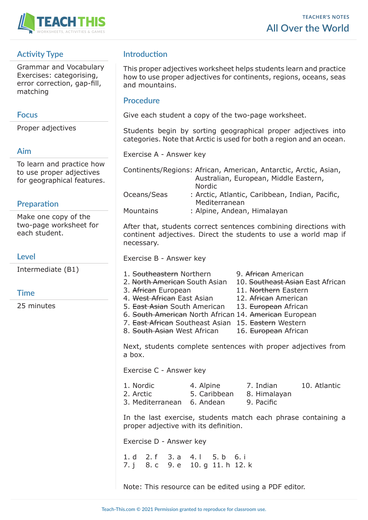

# **Activity Type**

Grammar and Vocabulary Exercises: categorising, error correction, gap-fill, matching

## **Focus**

Proper adjectives

## **Aim**

To learn and practice how to use proper adjectives for geographical features.

## **Preparation**

Make one copy of the two-page worksheet for each student.

## **Level**

Intermediate (B1)

## **Time**

25 minutes

# **Introduction**

This proper adjectives worksheet helps students learn and practice how to use proper adjectives for continents, regions, oceans, seas and mountains.

### **Procedure**

Give each student a copy of the two-page worksheet.

Students begin by sorting geographical proper adjectives into categories. Note that Arctic is used for both a region and an ocean.

Exercise A - Answer key

|                  | Continents/Regions: African, American, Antarctic, Arctic, Asian, |
|------------------|------------------------------------------------------------------|
|                  | Australian, European, Middle Eastern,                            |
|                  | <b>Nordic</b>                                                    |
| Oceans/Seas      | : Arctic, Atlantic, Caribbean, Indian, Pacific,<br>Mediterranean |
| <b>Mountains</b> | : Alpine, Andean, Himalayan                                      |

After that, students correct sentences combining directions with continent adjectives. Direct the students to use a world map if necessary.

Exercise B - Answer key

- 1. Southeastern Northern 9. African American
- 2. North American South Asian 10. Southeast Asian East African
- 3. African European 11. Northern Eastern
- 4. West African East Asian 12. African American
	-
- 5. East Asian South American 13. European African

10. Atlantic

- 6. South American North African 14. American European
- 7. East African Southeast Asian 15. Eastern Western
- 8. South Asian West African 16. European African

Next, students complete sentences with proper adjectives from a box.

Exercise C - Answer key

| 1. Nordic                  | 4. Alpine    | 7. Indian    |
|----------------------------|--------------|--------------|
| 2. Arctic                  | 5. Caribbean | 8. Himalayan |
| 3. Mediterranean 6. Andean |              | 9. Pacific   |

In the last exercise, students match each phrase containing a proper adjective with its definition.

Exercise D - Answer key

1. d 2. f 3. a 4. l 5. b 6. i 7. j 8. c 9. e 10. g 11. h 12. k

Note: This resource can be edited using a PDF editor.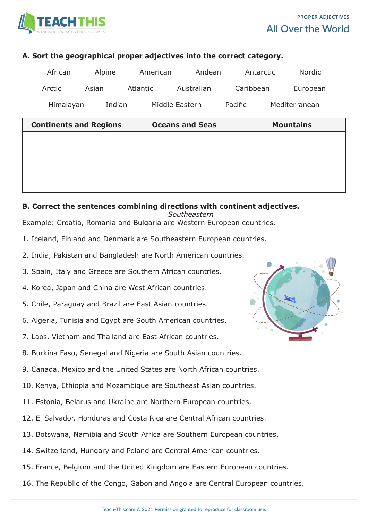

#### **A. Sort the geographical proper adjectives into the correct category.**

| African   | Alpine | American | Andean         | Antarctic | <b>Nordic</b> |
|-----------|--------|----------|----------------|-----------|---------------|
| Arctic    | Asian  | Atlantic | Australian     | Caribbean | European      |
| Himalayan | Indian |          | Middle Eastern | Pacific   | Mediterranean |

| <b>Continents and Regions</b> | <b>Oceans and Seas</b> | <b>Mountains</b> |
|-------------------------------|------------------------|------------------|
|                               |                        |                  |
|                               |                        |                  |
|                               |                        |                  |
|                               |                        |                  |
|                               |                        |                  |

#### **B. Correct the sentences combining directions with continent adjectives.**

*Southeastern*

Example: Croatia, Romania and Bulgaria are Western European countries.

- 1. Iceland, Finland and Denmark are Southeastern European countries.
- 2. India, Pakistan and Bangladesh are North American countries.
- 3. Spain, Italy and Greece are Southern African countries.
- 4. Korea, Japan and China are West African countries.
- 5. Chile, Paraguay and Brazil are East Asian countries.
- 6. Algeria, Tunisia and Egypt are South American countries.
- 7. Laos, Vietnam and Thailand are East African countries.
- 8. Burkina Faso, Senegal and Nigeria are South Asian countries.
- 9. Canada, Mexico and the United States are North African countries.
- 10. Kenya, Ethiopia and Mozambique are Southeast Asian countries.
- 11. Estonia, Belarus and Ukraine are Northern European countries.
- 12. El Salvador, Honduras and Costa Rica are Central African countries.
- 13. Botswana, Namibia and South Africa are Southern European countries.
- 14. Switzerland, Hungary and Poland are Central American countries.
- 15. France, Belgium and the United Kingdom are Eastern European countries.
- 16. The Republic of the Congo, Gabon and Angola are Central European countries.